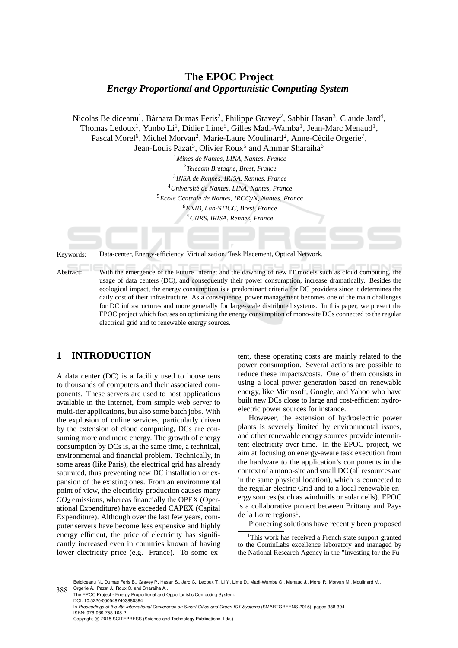# **The EPOC Project** *Energy Proportional and Opportunistic Computing System*

Nicolas Beldiceanu<sup>1</sup>, Bárbara Dumas Feris<sup>2</sup>, Philippe Gravey<sup>2</sup>, Sabbir Hasan<sup>3</sup>, Claude Jard<sup>4</sup>, Thomas Ledoux<sup>1</sup>, Yunbo Li<sup>1</sup>, Didier Lime<sup>5</sup>, Gilles Madi-Wamba<sup>1</sup>, Jean-Marc Menaud<sup>1</sup>, Pascal Morel<sup>6</sup>, Michel Morvan<sup>2</sup>, Marie-Laure Moulinard<sup>2</sup>, Anne-Cécile Orgerie<sup>7</sup>,

Jean-Louis Pazat<sup>3</sup>, Olivier Roux<sup>5</sup> and Ammar Sharaiha<sup>6</sup>

*Mines de Nantes, LINA, Nantes, France Telecom Bretagne, Brest, France INSA de Rennes, IRISA, Rennes, France Universit´e de Nantes, LINA, Nantes, France Ecole Centrale de Nantes, IRCCyN, Nantes, France ENIB, Lab-STICC, Brest, France CNRS, IRISA, Rennes, France*

Keywords: Data-center, Energy-efficiency, Virtualization, Task Placement, Optical Network.

Abstract: With the emergence of the Future Internet and the dawning of new IT models such as cloud computing, the usage of data centers (DC), and consequently their power consumption, increase dramatically. Besides the ecological impact, the energy consumption is a predominant criteria for DC providers since it determines the daily cost of their infrastructure. As a consequence, power management becomes one of the main challenges for DC infrastructures and more generally for large-scale distributed systems. In this paper, we present the EPOC project which focuses on optimizing the energy consumption of mono-site DCs connected to the regular electrical grid and to renewable energy sources.

## **1 INTRODUCTION**

A data center (DC) is a facility used to house tens to thousands of computers and their associated components. These servers are used to host applications available in the Internet, from simple web server to multi-tier applications, but also some batch jobs. With the explosion of online services, particularly driven by the extension of cloud computing, DCs are consuming more and more energy. The growth of energy consumption by DCs is, at the same time, a technical, environmental and financial problem. Technically, in some areas (like Paris), the electrical grid has already saturated, thus preventing new DC installation or expansion of the existing ones. From an environmental point of view, the electricity production causes many *CO*<sup>2</sup> emissions, whereas financially the OPEX (Operational Expenditure) have exceeded CAPEX (Capital Expenditure). Although over the last few years, computer servers have become less expensive and highly energy efficient, the price of electricity has significantly increased even in countries known of having lower electricity price (e.g. France). To some ex-

tent, these operating costs are mainly related to the power consumption. Several actions are possible to reduce these impacts/costs. One of them consists in using a local power generation based on renewable energy, like Microsoft, Google, and Yahoo who have built new DCs close to large and cost-efficient hydroelectric power sources for instance.

However, the extension of hydroelectric power plants is severely limited by environmental issues, and other renewable energy sources provide intermittent electricity over time. In the EPOC project, we aim at focusing on energy-aware task execution from the hardware to the application's components in the context of a mono-site and small DC (all resources are in the same physical location), which is connected to the regular electric Grid and to a local renewable energy sources (such as windmills or solar cells). EPOC is a collaborative project between Brittany and Pays de la Loire regions<sup>1</sup>.

Pioneering solutions have recently been proposed

<sup>1</sup>This work has received a French state support granted to the CominLabs excellence laboratory and managed by the National Research Agency in the "Investing for the Fu-

The EPOC Project - Energy Proportional and Opportunistic Computing System. DOI: 10.5220/0005487403880394 In *Proceedings of the 4th International Conference on Smart Cities and Green ICT Systems* (SMARTGREENS-2015), pages 388-394 ISBN: 978-989-758-105-2 Copyright (C) 2015 SCITEPRESS (Science and Technology Publications, Lda.)

<sup>388</sup> Orgerie A., Pazat J., Roux O. and Sharaiha A.. Beldiceanu N., Dumas Feris B., Gravey P., Hasan S., Jard C., Ledoux T., Li Y., Lime D., Madi-Wamba G., Menaud J., Morel P., Morvan M., Moulinard M.,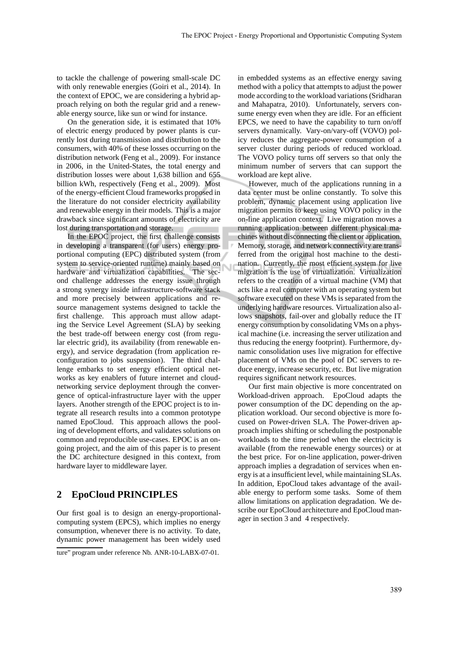to tackle the challenge of powering small-scale DC with only renewable energies (Goiri et al., 2014). In the context of EPOC, we are considering a hybrid approach relying on both the regular grid and a renewable energy source, like sun or wind for instance.

On the generation side, it is estimated that 10% of electric energy produced by power plants is currently lost during transmission and distribution to the consumers, with 40% of these losses occurring on the distribution network (Feng et al., 2009). For instance in 2006, in the United-States, the total energy and distribution losses were about 1,638 billion and 655 billion kWh, respectively (Feng et al., 2009). Most of the energy-efficient Cloud frameworks proposed in the literature do not consider electricity availability and renewable energy in their models. This is a major drawback since significant amounts of electricity are lost during transportation and storage.

In the EPOC project, the first challenge consists in developing a transparent (for users) energy proportional computing (EPC) distributed system (from system to service-oriented runtime) mainly based on hardware and virtualization capabilities. The second challenge addresses the energy issue through a strong synergy inside infrastructure-software stack and more precisely between applications and resource management systems designed to tackle the first challenge. This approach must allow adapting the Service Level Agreement (SLA) by seeking the best trade-off between energy cost (from regular electric grid), its availability (from renewable energy), and service degradation (from application reconfiguration to jobs suspension). The third challenge embarks to set energy efficient optical networks as key enablers of future internet and cloudnetworking service deployment through the convergence of optical-infrastructure layer with the upper layers. Another strength of the EPOC project is to integrate all research results into a common prototype named EpoCloud. This approach allows the pooling of development efforts, and validates solutions on common and reproducible use-cases. EPOC is an ongoing project, and the aim of this paper is to present the DC architecture designed in this context, from hardware layer to middleware layer.

## **2 EpoCloud PRINCIPLES**

Our first goal is to design an energy-proportionalcomputing system (EPCS), which implies no energy consumption, whenever there is no activity. To date, dynamic power management has been widely used in embedded systems as an effective energy saving method with a policy that attempts to adjust the power mode according to the workload variations (Sridharan and Mahapatra, 2010). Unfortunately, servers consume energy even when they are idle. For an efficient EPCS, we need to have the capability to turn on/off servers dynamically. Vary-on/vary-off (VOVO) policy reduces the aggregate-power consumption of a server cluster during periods of reduced workload. The VOVO policy turns off servers so that only the minimum number of servers that can support the workload are kept alive.

However, much of the applications running in a data center must be online constantly. To solve this problem, dynamic placement using application live migration permits to keep using VOVO policy in the on-line application context. Live migration moves a running application between different physical machines without disconnecting the client or application. Memory, storage, and network connectivity are transferred from the original host machine to the destination. Currently, the most efficient system for live migration is the use of virtualization. Virtualization refers to the creation of a virtual machine (VM) that acts like a real computer with an operating system but software executed on these VMs is separated from the underlying hardware resources. Virtualization also allows snapshots, fail-over and globally reduce the IT energy consumption by consolidating VMs on a physical machine (i.e. increasing the server utilization and thus reducing the energy footprint). Furthermore, dynamic consolidation uses live migration for effective placement of VMs on the pool of DC servers to reduce energy, increase security, etc. But live migration requires significant network resources.

N

Our first main objective is more concentrated on Workload-driven approach. EpoCloud adapts the power consumption of the DC depending on the application workload. Our second objective is more focused on Power-driven SLA. The Power-driven approach implies shifting or scheduling the postponable workloads to the time period when the electricity is available (from the renewable energy sources) or at the best price. For on-line application, power-driven approach implies a degradation of services when energy is at a insufficient level, while maintaining SLAs. In addition, EpoCloud takes advantage of the available energy to perform some tasks. Some of them allow limitations on application degradation. We describe our EpoCloud architecture and EpoCloud manager in section 3 and 4 respectively.

ture" program under reference Nb. ANR-10-LABX-07-01.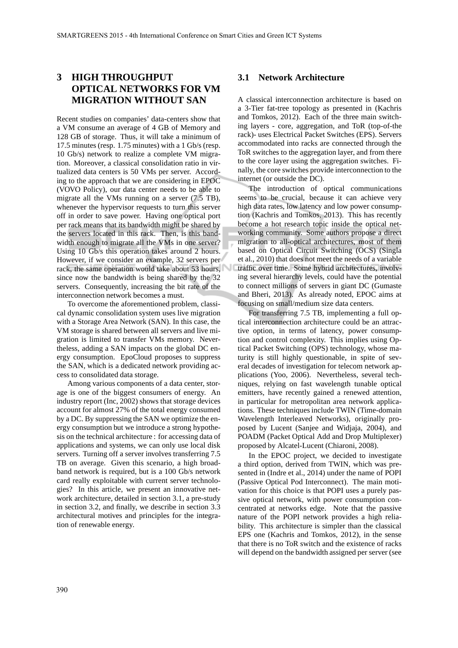## **3 HIGH THROUGHPUT OPTICAL NETWORKS FOR VM MIGRATION WITHOUT SAN**

Recent studies on companies' data-centers show that a VM consume an average of 4 GB of Memory and 128 GB of storage. Thus, it will take a minimum of 17.5 minutes (resp. 1.75 minutes) with a 1 Gb/s (resp. 10 Gb/s) network to realize a complete VM migration. Moreover, a classical consolidation ratio in virtualized data centers is 50 VMs per server. According to the approach that we are considering in EPOC (VOVO Policy), our data center needs to be able to migrate all the VMs running on a server (7.5 TB), whenever the hypervisor requests to turn this server off in order to save power. Having one optical port per rack means that its bandwidth might be shared by the servers located in this rack. Then, is this bandwidth enough to migrate all the VMs in one server? Using 10 Gb/s this operation takes around 2 hours. However, if we consider an example, 32 servers per rack, the same operation would take about 53 hours, since now the bandwidth is being shared by the 32 servers. Consequently, increasing the bit rate of the interconnection network becomes a must.

To overcome the aforementioned problem, classical dynamic consolidation system uses live migration with a Storage Area Network (SAN). In this case, the VM storage is shared between all servers and live migration is limited to transfer VMs memory. Nevertheless, adding a SAN impacts on the global DC energy consumption. EpoCloud proposes to suppress the SAN, which is a dedicated network providing access to consolidated data storage.

Among various components of a data center, storage is one of the biggest consumers of energy. An industry report (Inc, 2002) shows that storage devices account for almost 27% of the total energy consumed by a DC. By suppressing the SAN we optimize the energy consumption but we introduce a strong hypothesis on the technical architecture : for accessing data of applications and systems, we can only use local disk servers. Turning off a server involves transferring 7.5 TB on average. Given this scenario, a high broadband network is required, but is a 100 Gb/s network card really exploitable with current server technologies? In this article, we present an innovative network architecture, detailed in section 3.1, a pre-study in section 3.2, and finally, we describe in section 3.3 architectural motives and principles for the integration of renewable energy.

#### **3.1 Network Architecture**

A classical interconnection architecture is based on a 3-Tier fat-tree topology as presented in (Kachris and Tomkos, 2012). Each of the three main switching layers - core, aggregation, and ToR (top-of-the rack)- uses Electrical Packet Switches (EPS). Servers accommodated into racks are connected through the ToR switches to the aggregation layer, and from there to the core layer using the aggregation switches. Finally, the core switches provide interconnection to the internet (or outside the DC).

The introduction of optical communications seems to be crucial, because it can achieve very high data rates, low latency and low power consumption (Kachris and Tomkos, 2013). This has recently become a hot research topic inside the optical networking community. Some authors propose a direct migration to all-optical architectures, most of them based on Optical Circuit Switching (OCS) (Singla et al., 2010) that does not meet the needs of a variable traffic over time. Some hybrid architectures, involving several hierarchy levels, could have the potential to connect millions of servers in giant DC (Gumaste and Bheri, 2013). As already noted, EPOC aims at focusing on small/medium size data centers.

For transferring 7.5 TB, implementing a full optical interconnection architecture could be an attractive option, in terms of latency, power consumption and control complexity. This implies using Optical Packet Switching (OPS) technology, whose maturity is still highly questionable, in spite of several decades of investigation for telecom network applications (Yoo, 2006). Nevertheless, several techniques, relying on fast wavelength tunable optical emitters, have recently gained a renewed attention, in particular for metropolitan area network applications. These techniques include TWIN (Time-domain Wavelength Interleaved Networks), originally proposed by Lucent (Sanjee and Widjaja, 2004), and POADM (Packet Optical Add and Drop Multiplexer) proposed by Alcatel-Lucent (Chiaroni, 2008).

In the EPOC project, we decided to investigate a third option, derived from TWIN, which was presented in (Indre et al., 2014) under the name of POPI (Passive Optical Pod Interconnect). The main motivation for this choice is that POPI uses a purely passive optical network, with power consumption concentrated at networks edge. Note that the passive nature of the POPI network provides a high reliability. This architecture is simpler than the classical EPS one (Kachris and Tomkos, 2012), in the sense that there is no ToR switch and the existence of racks will depend on the bandwidth assigned per server (see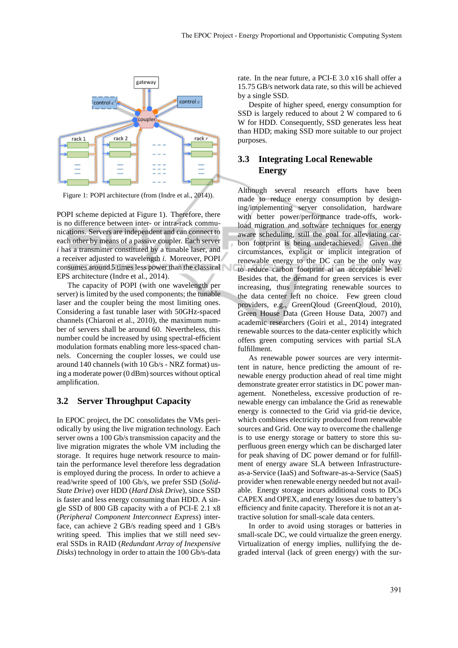

Figure 1: POPI architecture (from (Indre et al., 2014)).

POPI scheme depicted at Figure 1). Therefore, there is no difference between inter- or intra-rack communications. Servers are independent and can connect to each other by means of a passive coupler. Each server *i* has a transmitter constituted by a tunable laser, and a receiver adjusted to wavelength *i*. Moreover, POPI consumes around 5 times less power than the classical EPS architecture (Indre et al., 2014).

The capacity of POPI (with one wavelength per server) is limited by the used components; the tunable laser and the coupler being the most limiting ones. Considering a fast tunable laser with 50GHz-spaced channels (Chiaroni et al., 2010), the maximum number of servers shall be around 60. Nevertheless, this number could be increased by using spectral-efficient modulation formats enabling more less-spaced channels. Concerning the coupler losses, we could use around 140 channels (with 10 Gb/s - NRZ format) using a moderate power (0 dBm) sources without optical amplification.

#### **3.2 Server Throughput Capacity**

In EPOC project, the DC consolidates the VMs periodically by using the live migration technology. Each server owns a 100 Gb/s transmission capacity and the live migration migrates the whole VM including the storage. It requires huge network resource to maintain the performance level therefore less degradation is employed during the process. In order to achieve a read/write speed of 100 Gb/s, we prefer SSD (*Solid-State Drive*) over HDD (*Hard Disk Drive*), since SSD is faster and less energy consuming than HDD. A single SSD of 800 GB capacity with a of PCI-E 2.1 x8 (*Peripheral Component Interconnect Express*) interface, can achieve 2 GB/s reading speed and 1 GB/s writing speed. This implies that we still need several SSDs in RAID (*Redundant Array of Inexpensive Disks*) technology in order to attain the 100 Gb/s-data rate. In the near future, a PCI-E 3.0 x16 shall offer a 15.75 GB/s network data rate, so this will be achieved by a single SSD.

Despite of higher speed, energy consumption for SSD is largely reduced to about 2 W compared to 6 W for HDD. Consequently, SSD generates less heat than HDD; making SSD more suitable to our project purposes.

## **3.3 Integrating Local Renewable Energy**

Although several research efforts have been made to reduce energy consumption by designing/implementing server consolidation, hardware with better power/performance trade-offs, workload migration and software techniques for energy aware scheduling, still the goal for alleviating carbon footprint is being underachieved. Given the circumstances, explicit or implicit integration of renewable energy to the DC can be the only way to reduce carbon footprint at an acceptable level. Besides that, the demand for green services is ever increasing, thus integrating renewable sources to the data center left no choice. Few green cloud providers, e.g., GreenQloud (GreenQloud, 2010), Green House Data (Green House Data, 2007) and academic researchers (Goiri et al., 2014) integrated renewable sources to the data-center explicitly which offers green computing services with partial SLA fulfillment.

As renewable power sources are very intermittent in nature, hence predicting the amount of renewable energy production ahead of real time might demonstrate greater error statistics in DC power management. Nonetheless, excessive production of renewable energy can imbalance the Grid as renewable energy is connected to the Grid via grid-tie device, which combines electricity produced from renewable sources and Grid. One way to overcome the challenge is to use energy storage or battery to store this superfluous green energy which can be discharged later for peak shaving of DC power demand or for fulfillment of energy aware SLA between Infrastructureas-a-Service (IaaS) and Software-as-a-Service (SaaS) provider when renewable energy needed but not available. Energy storage incurs additional costs to DCs CAPEX and OPEX, and energy losses due to battery's efficiency and finite capacity. Therefore it is not an attractive solution for small-scale data centers.

In order to avoid using storages or batteries in small-scale DC, we could virtualize the green energy. Virtualization of energy implies, nullifying the degraded interval (lack of green energy) with the sur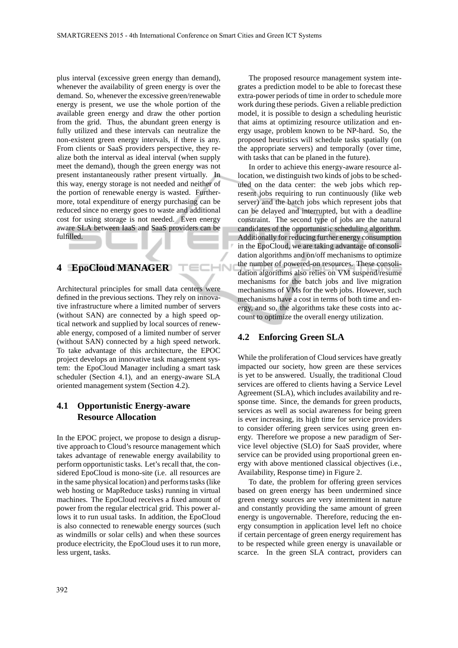ECHN

plus interval (excessive green energy than demand), whenever the availability of green energy is over the demand. So, whenever the excessive green/renewable energy is present, we use the whole portion of the available green energy and draw the other portion from the grid. Thus, the abundant green energy is fully utilized and these intervals can neutralize the non-existent green energy intervals, if there is any. From clients or SaaS providers perspective, they realize both the interval as ideal interval (when supply meet the demand), though the green energy was not present instantaneously rather present virtually. In this way, energy storage is not needed and neither of the portion of renewable energy is wasted. Furthermore, total expenditure of energy purchasing can be reduced since no energy goes to waste and additional cost for using storage is not needed. Even energy aware SLA between IaaS and SaaS providers can be fulfilled.

## **4 EpoCloud MANAGER**

Architectural principles for small data centers were defined in the previous sections. They rely on innovative infrastructure where a limited number of servers (without SAN) are connected by a high speed optical network and supplied by local sources of renewable energy, composed of a limited number of server (without SAN) connected by a high speed network. To take advantage of this architecture, the EPOC project develops an innovative task management system: the EpoCloud Manager including a smart task scheduler (Section 4.1), and an energy-aware SLA oriented management system (Section 4.2).

## **4.1 Opportunistic Energy-aware Resource Allocation**

In the EPOC project, we propose to design a disruptive approach to Cloud's resource management which takes advantage of renewable energy availability to perform opportunistic tasks. Let's recall that, the considered EpoCloud is mono-site (i.e. all resources are in the same physical location) and performs tasks (like web hosting or MapReduce tasks) running in virtual machines. The EpoCloud receives a fixed amount of power from the regular electrical grid. This power allows it to run usual tasks. In addition, the EpoCloud is also connected to renewable energy sources (such as windmills or solar cells) and when these sources produce electricity, the EpoCloud uses it to run more, less urgent, tasks.

The proposed resource management system integrates a prediction model to be able to forecast these extra-power periods of time in order to schedule more work during these periods. Given a reliable prediction model, it is possible to design a scheduling heuristic that aims at optimizing resource utilization and energy usage, problem known to be NP-hard. So, the proposed heuristics will schedule tasks spatially (on the appropriate servers) and temporally (over time, with tasks that can be planed in the future).

In order to achieve this energy-aware resource allocation, we distinguish two kinds of jobs to be scheduled on the data center: the web jobs which represent jobs requiring to run continuously (like web server) and the batch jobs which represent jobs that can be delayed and interrupted, but with a deadline constraint. The second type of jobs are the natural candidates of the opportunistic scheduling algorithm. Additionally for reducing further energy consumption in the EpoCloud, we are taking advantage of consolidation algorithms and on/off mechanisms to optimize the number of powered-on resources. These consolidation algorithms also relies on VM suspend/resume mechanisms for the batch jobs and live migration mechanisms of VMs for the web jobs. However, such mechanisms have a cost in terms of both time and energy, and so, the algorithms take these costs into account to optimize the overall energy utilization.

#### **4.2 Enforcing Green SLA**

While the proliferation of Cloud services have greatly impacted our society, how green are these services is yet to be answered. Usually, the traditional Cloud services are offered to clients having a Service Level Agreement (SLA), which includes availability and response time. Since, the demands for green products, services as well as social awareness for being green is ever increasing, its high time for service providers to consider offering green services using green energy. Therefore we propose a new paradigm of Service level objective (SLO) for SaaS provider, where service can be provided using proportional green energy with above mentioned classical objectives (i.e., Availability, Response time) in Figure 2.

To date, the problem for offering green services based on green energy has been undermined since green energy sources are very intermittent in nature and constantly providing the same amount of green energy is ungovernable. Therefore, reducing the energy consumption in application level left no choice if certain percentage of green energy requirement has to be respected while green energy is unavailable or scarce. In the green SLA contract, providers can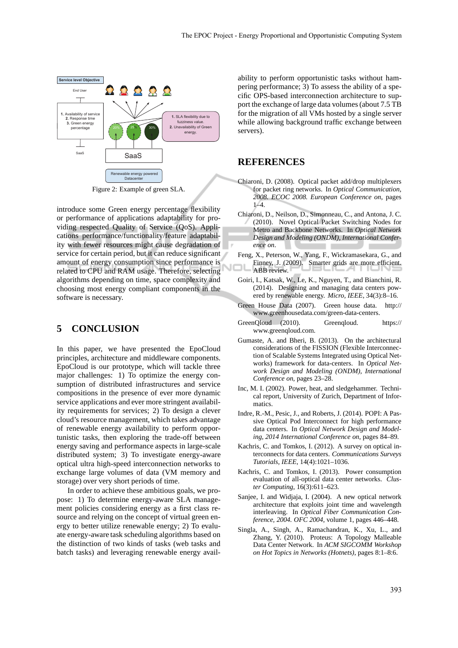

Figure 2: Example of green SLA.

introduce some Green energy percentage flexibility or performance of applications adaptability for providing respected Quality of Service (QoS). Applications performance/functionality/feature adaptability with fewer resources might cause degradation of service for certain period, but it can reduce significant amount of energy consumption since performance is related to CPU and RAM usage. Therefore, selecting algorithms depending on time, space complexity and choosing most energy compliant components in the software is necessary.

### **5 CONCLUSION**

In this paper, we have presented the EpoCloud principles, architecture and middleware components. EpoCloud is our prototype, which will tackle three major challenges: 1) To optimize the energy consumption of distributed infrastructures and service compositions in the presence of ever more dynamic service applications and ever more stringent availability requirements for services; 2) To design a clever cloud's resource management, which takes advantage of renewable energy availability to perform opportunistic tasks, then exploring the trade-off between energy saving and performance aspects in large-scale distributed system; 3) To investigate energy-aware optical ultra high-speed interconnection networks to exchange large volumes of data (VM memory and storage) over very short periods of time.

In order to achieve these ambitious goals, we propose: 1) To determine energy-aware SLA management policies considering energy as a first class resource and relying on the concept of virtual green energy to better utilize renewable energy; 2) To evaluate energy-aware task scheduling algorithms based on the distinction of two kinds of tasks (web tasks and batch tasks) and leveraging renewable energy avail-

ability to perform opportunistic tasks without hampering performance; 3) To assess the ability of a specific OPS-based interconnection architecture to support the exchange of large data volumes (about 7.5 TB for the migration of all VMs hosted by a single server while allowing background traffic exchange between servers).

### **REFERENCES**

- Chiaroni, D. (2008). Optical packet add/drop multiplexers for packet ring networks. In *Optical Communication, 2008. ECOC 2008. European Conference on*, pages 1–4.
- Chiaroni, D., Neilson, D., Simonneau, C., and Antona, J. C. (2010). Novel Optical Packet Switching Nodes for Metro and Backbone Networks. In *Optical Network Design and Modeling (ONDM), International Conference on*.
- Feng, X., Peterson, W., Yang, F., Wickramasekara, G., and Finney, J. (2009). Smarter grids are more efficient. ABB review.
- Goiri, I., Katsak, W., Le, K., Nguyen, T., and Bianchini, R. (2014). Designing and managing data centers powered by renewable energy. *Micro, IEEE*, 34(3):8–16.
- Green House Data (2007). Green house data. http:// www.greenhousedata.com/green-data-centers.
- GreenQloud (2010). Greenqloud. https:// www.greenqloud.com.
- Gumaste, A. and Bheri, B. (2013). On the architectural considerations of the FISSION (Flexible Interconnection of Scalable Systems Integrated using Optical Networks) framework for data-centers. In *Optical Network Design and Modeling (ONDM), International Conference on*, pages 23–28.
- Inc, M. I. (2002). Power, heat, and sledgehammer. Technical report, University of Zurich, Department of Informatics.
- Indre, R.-M., Pesic, J., and Roberts, J. (2014). POPI: A Passive Optical Pod Interconnect for high performance data centers. In *Optical Network Design and Modeling, 2014 International Conference on*, pages 84–89.
- Kachris, C. and Tomkos, I. (2012). A survey on optical interconnects for data centers. *Communications Surveys Tutorials, IEEE*, 14(4):1021–1036.
- Kachris, C. and Tomkos, I. (2013). Power consumption evaluation of all-optical data center networks. *Cluster Computing*, 16(3):611–623.
- Sanjee, I. and Widjaja, I. (2004). A new optical network architecture that exploits joint time and wavelength interleaving. In *Optical Fiber Communication Conference, 2004. OFC 2004*, volume 1, pages 446–448.
- Singla, A., Singh, A., Ramachandran, K., Xu, L., and Zhang, Y. (2010). Proteus: A Topology Malleable Data Center Network. In *ACM SIGCOMM Workshop on Hot Topics in Networks (Hotnets)*, pages 8:1–8:6.